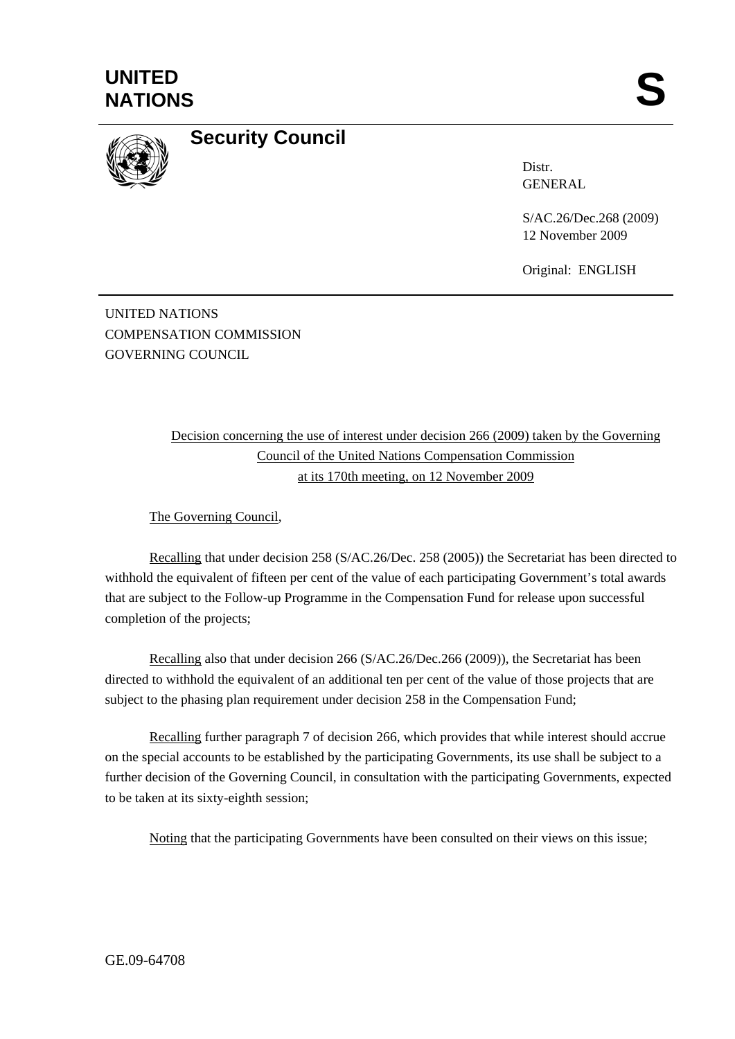



## **Security Council**

Distr. GENERAL

S/AC.26/Dec.268 (2009) 12 November 2009

Original: ENGLISH

UNITED NATIONS COMPENSATION COMMISSION GOVERNING COUNCIL

> Decision concerning the use of interest under decision 266 (2009) taken by the Governing Council of the United Nations Compensation Commission at its 170th meeting, on 12 November 2009

The Governing Council,

Recalling that under decision 258 (S/AC.26/Dec. 258 (2005)) the Secretariat has been directed to withhold the equivalent of fifteen per cent of the value of each participating Government's total awards that are subject to the Follow-up Programme in the Compensation Fund for release upon successful completion of the projects;

Recalling also that under decision 266 (S/AC.26/Dec.266 (2009)), the Secretariat has been directed to withhold the equivalent of an additional ten per cent of the value of those projects that are subject to the phasing plan requirement under decision 258 in the Compensation Fund;

Recalling further paragraph 7 of decision 266, which provides that while interest should accrue on the special accounts to be established by the participating Governments, its use shall be subject to a further decision of the Governing Council, in consultation with the participating Governments, expected to be taken at its sixty-eighth session;

Noting that the participating Governments have been consulted on their views on this issue;